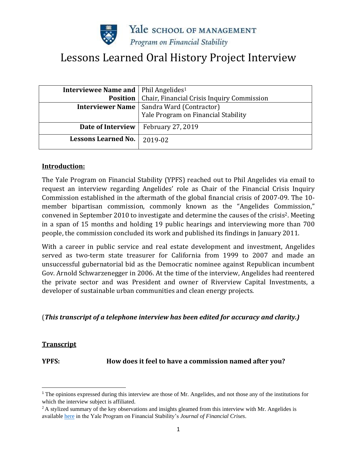

# Lessons Learned Oral History Project Interview

| <b>Interviewee Name and   Phil Angelides<sup>1</sup></b> |                                                    |
|----------------------------------------------------------|----------------------------------------------------|
| <b>Position</b>                                          | Chair, Financial Crisis Inquiry Commission         |
|                                                          | <b>Interviewer Name   Sandra Ward (Contractor)</b> |
|                                                          | Yale Program on Financial Stability                |
| Date of Interview                                        | <b>February 27, 2019</b>                           |
| <b>Lessons Learned No.</b>                               | 2019-02                                            |

### **Introduction:**

The Yale Program on Financial Stability (YPFS) reached out to Phil Angelides via email to request an interview regarding Angelides' role as Chair of the Financial Crisis Inquiry Commission established in the aftermath of the global financial crisis of 2007-09. The 10 member bipartisan commission, commonly known as the "Angelides Commission," convened in September 2010 to investigate and determine the causes of the crisis2. Meeting in a span of 15 months and holding 19 public hearings and interviewing more than 700 people, the commission concluded its work and published its findings in January 2011.

With a career in public service and real estate development and investment, Angelides served as two-term state treasurer for California from 1999 to 2007 and made an unsuccessful gubernatorial bid as the Democratic nominee against Republican incumbent Gov. Arnold Schwarzenegger in 2006. At the time of the interview, Angelides had reentered the private sector and was President and owner of Riverview Capital Investments, a developer of sustainable urban communities and clean energy projects.

### (*This transcript of a telephone interview has been edited for accuracy and clarity.)*

### **Transcript**

**YPFS: How does it feel to have a commission named after you?**

<sup>1</sup> The opinions expressed during this interview are those of Mr. Angelides, and not those any of the institutions for which the interview subject is affiliated.

 $2A$  stylized summary of the key observations and insights gleamed from this interview with Mr. Angelides is availabl[e here](https://elischolar.library.yale.edu/cgi/cview.cgi/journal-of-financial-crises/vol2/iss4/7) in the Yale Program on Financial Stability's *Journal of Financial Crises*.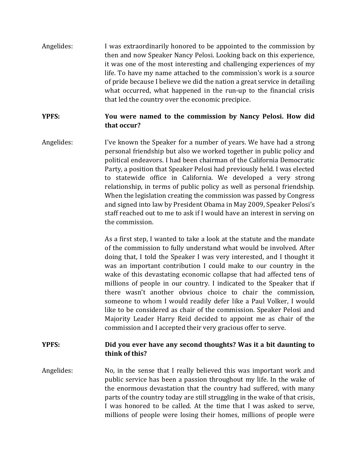Angelides: I was extraordinarily honored to be appointed to the commission by then and now Speaker Nancy Pelosi. Looking back on this experience, it was one of the most interesting and challenging experiences of my life. To have my name attached to the commission's work is a source of pride because I believe we did the nation a great service in detailing what occurred, what happened in the run-up to the financial crisis that led the country over the economic precipice.

# **YPFS: You were named to the commission by Nancy Pelosi. How did that occur?**

Angelides: I've known the Speaker for a number of years. We have had a strong personal friendship but also we worked together in public policy and political endeavors. I had been chairman of the California Democratic Party, a position that Speaker Pelosi had previously held. I was elected to statewide office in California. We developed a very strong relationship, in terms of public policy as well as personal friendship. When the legislation creating the commission was passed by Congress and signed into law by President Obama in May 2009, Speaker Pelosi's staff reached out to me to ask if I would have an interest in serving on the commission.

> As a first step, I wanted to take a look at the statute and the mandate of the commission to fully understand what would be involved. After doing that, I told the Speaker I was very interested, and I thought it was an important contribution I could make to our country in the wake of this devastating economic collapse that had affected tens of millions of people in our country. I indicated to the Speaker that if there wasn't another obvious choice to chair the commission, someone to whom I would readily defer like a Paul Volker, I would like to be considered as chair of the commission. Speaker Pelosi and Majority Leader Harry Reid decided to appoint me as chair of the commission and I accepted their very gracious offer to serve.

# **YPFS: Did you ever have any second thoughts? Was it a bit daunting to think of this?**

Angelides: No, in the sense that I really believed this was important work and public service has been a passion throughout my life. In the wake of the enormous devastation that the country had suffered, with many parts of the country today are still struggling in the wake of that crisis, I was honored to be called. At the time that I was asked to serve, millions of people were losing their homes, millions of people were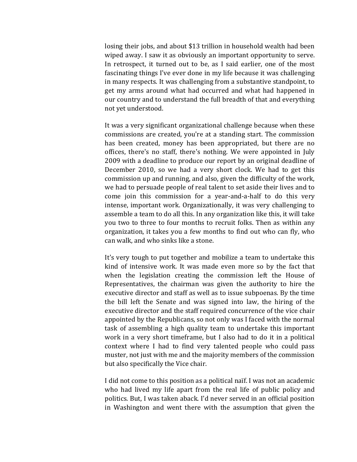losing their jobs, and about \$13 trillion in household wealth had been wiped away. I saw it as obviously an important opportunity to serve. In retrospect, it turned out to be, as I said earlier, one of the most fascinating things I've ever done in my life because it was challenging in many respects. It was challenging from a substantive standpoint, to get my arms around what had occurred and what had happened in our country and to understand the full breadth of that and everything not yet understood.

It was a very significant organizational challenge because when these commissions are created, you're at a standing start. The commission has been created, money has been appropriated, but there are no offices, there's no staff, there's nothing. We were appointed in July 2009 with a deadline to produce our report by an original deadline of December 2010, so we had a very short clock. We had to get this commission up and running, and also, given the difficulty of the work, we had to persuade people of real talent to set aside their lives and to come join this commission for a year-and-a-half to do this very intense, important work. Organizationally, it was very challenging to assemble a team to do all this. In any organization like this, it will take you two to three to four months to recruit folks. Then as within any organization, it takes you a few months to find out who can fly, who can walk, and who sinks like a stone.

It's very tough to put together and mobilize a team to undertake this kind of intensive work. It was made even more so by the fact that when the legislation creating the commission left the House of Representatives, the chairman was given the authority to hire the executive director and staff as well as to issue subpoenas. By the time the bill left the Senate and was signed into law, the hiring of the executive director and the staff required concurrence of the vice chair appointed by the Republicans, so not only was I faced with the normal task of assembling a high quality team to undertake this important work in a very short timeframe, but I also had to do it in a political context where I had to find very talented people who could pass muster, not just with me and the majority members of the commission but also specifically the Vice chair.

I did not come to this position as a political naïf. I was not an academic who had lived my life apart from the real life of public policy and politics. But, I was taken aback. I'd never served in an official position in Washington and went there with the assumption that given the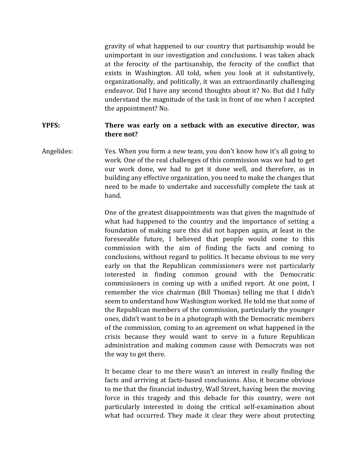gravity of what happened to our country that partisanship would be unimportant in our investigation and conclusions. I was taken aback at the ferocity of the partisanship, the ferocity of the conflict that exists in Washington. All told, when you look at it substantively, organizationally, and politically, it was an extraordinarily challenging endeavor. Did I have any second thoughts about it? No. But did I fully understand the magnitude of the task in front of me when I accepted the appointment? No.

### **YPFS: There was early on a setback with an executive director, was there not?**

Angelides: Yes. When you form a new team, you don't know how it's all going to work. One of the real challenges of this commission was we had to get our work done, we had to get it done well, and therefore, as in building any effective organization, you need to make the changes that need to be made to undertake and successfully complete the task at hand.

> One of the greatest disappointments was that given the magnitude of what had happened to the country and the importance of setting a foundation of making sure this did not happen again, at least in the foreseeable future, I believed that people would come to this commission with the aim of finding the facts and coming to conclusions, without regard to politics. It became obvious to me very early on that the Republican commissioners were not particularly interested in finding common ground with the Democratic commissioners in coming up with a unified report. At one point, I remember the vice chairman (Bill Thomas) telling me that I didn't seem to understand how Washington worked. He told me that some of the Republican members of the commission, particularly the younger ones, didn't want to be in a photograph with the Democratic members of the commission, coming to an agreement on what happened in the crisis because they would want to serve in a future Republican administration and making common cause with Democrats was not the way to get there.

> It became clear to me there wasn't an interest in really finding the facts and arriving at facts-based conclusions. Also, it became obvious to me that the financial industry, Wall Street, having been the moving force in this tragedy and this debacle for this country, were not particularly interested in doing the critical self-examination about what had occurred. They made it clear they were about protecting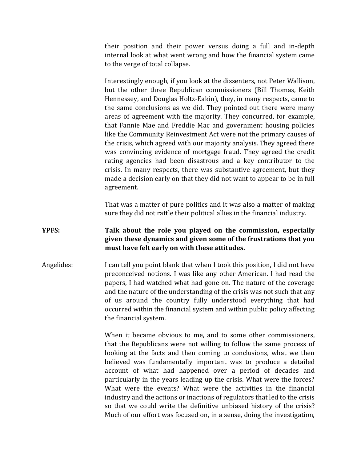their position and their power versus doing a full and in-depth internal look at what went wrong and how the financial system came to the verge of total collapse.

Interestingly enough, if you look at the dissenters, not Peter Wallison, but the other three Republican commissioners (Bill Thomas, Keith Hennessey, and Douglas Holtz-Eakin), they, in many respects, came to the same conclusions as we did. They pointed out there were many areas of agreement with the majority. They concurred, for example, that Fannie Mae and Freddie Mac and government housing policies like the Community Reinvestment Act were not the primary causes of the crisis, which agreed with our majority analysis. They agreed there was convincing evidence of mortgage fraud. They agreed the credit rating agencies had been disastrous and a key contributor to the crisis. In many respects, there was substantive agreement, but they made a decision early on that they did not want to appear to be in full agreement.

That was a matter of pure politics and it was also a matter of making sure they did not rattle their political allies in the financial industry.

# **YPFS: Talk about the role you played on the commission, especially given these dynamics and given some of the frustrations that you must have felt early on with these attitudes.**

Angelides: I can tell you point blank that when I took this position, I did not have preconceived notions. I was like any other American. I had read the papers, I had watched what had gone on. The nature of the coverage and the nature of the understanding of the crisis was not such that any of us around the country fully understood everything that had occurred within the financial system and within public policy affecting the financial system.

> When it became obvious to me, and to some other commissioners, that the Republicans were not willing to follow the same process of looking at the facts and then coming to conclusions, what we then believed was fundamentally important was to produce a detailed account of what had happened over a period of decades and particularly in the years leading up the crisis. What were the forces? What were the events? What were the activities in the financial industry and the actions or inactions of regulators that led to the crisis so that we could write the definitive unbiased history of the crisis? Much of our effort was focused on, in a sense, doing the investigation,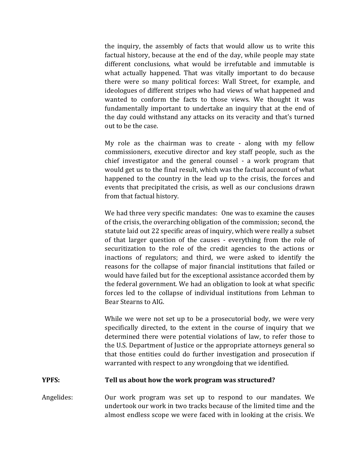the inquiry, the assembly of facts that would allow us to write this factual history, because at the end of the day, while people may state different conclusions, what would be irrefutable and immutable is what actually happened. That was vitally important to do because there were so many political forces: Wall Street, for example, and ideologues of different stripes who had views of what happened and wanted to conform the facts to those views. We thought it was fundamentally important to undertake an inquiry that at the end of the day could withstand any attacks on its veracity and that's turned out to be the case.

My role as the chairman was to create - along with my fellow commissioners, executive director and key staff people, such as the chief investigator and the general counsel - a work program that would get us to the final result, which was the factual account of what happened to the country in the lead up to the crisis, the forces and events that precipitated the crisis, as well as our conclusions drawn from that factual history.

We had three very specific mandates: One was to examine the causes of the crisis, the overarching obligation of the commission; second, the statute laid out 22 specific areas of inquiry, which were really a subset of that larger question of the causes - everything from the role of securitization to the role of the credit agencies to the actions or inactions of regulators; and third, we were asked to identify the reasons for the collapse of major financial institutions that failed or would have failed but for the exceptional assistance accorded them by the federal government. We had an obligation to look at what specific forces led to the collapse of individual institutions from Lehman to Bear Stearns to AIG.

While we were not set up to be a prosecutorial body, we were very specifically directed, to the extent in the course of inquiry that we determined there were potential violations of law, to refer those to the U.S. Department of Justice or the appropriate attorneys general so that those entities could do further investigation and prosecution if warranted with respect to any wrongdoing that we identified.

#### **YPFS: Tell us about how the work program was structured?**

Angelides: Our work program was set up to respond to our mandates. We undertook our work in two tracks because of the limited time and the almost endless scope we were faced with in looking at the crisis. We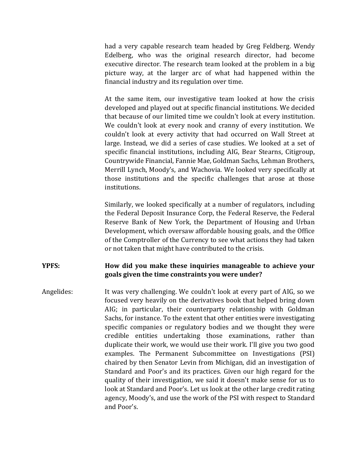had a very capable research team headed by Greg Feldberg. Wendy Edelberg, who was the original research director, had become executive director. The research team looked at the problem in a big picture way, at the larger arc of what had happened within the financial industry and its regulation over time.

At the same item, our investigative team looked at how the crisis developed and played out at specific financial institutions. We decided that because of our limited time we couldn't look at every institution. We couldn't look at every nook and cranny of every institution. We couldn't look at every activity that had occurred on Wall Street at large. Instead, we did a series of case studies. We looked at a set of specific financial institutions, including AIG, Bear Stearns, Citigroup, Countrywide Financial, Fannie Mae, Goldman Sachs, Lehman Brothers, Merrill Lynch, Moody's, and Wachovia. We looked very specifically at those institutions and the specific challenges that arose at those institutions.

Similarly, we looked specifically at a number of regulators, including the Federal Deposit Insurance Corp, the Federal Reserve, the Federal Reserve Bank of New York, the Department of Housing and Urban Development, which oversaw affordable housing goals, and the Office of the Comptroller of the Currency to see what actions they had taken or not taken that might have contributed to the crisis.

# **YPFS: How did you make these inquiries manageable to achieve your goals given the time constraints you were under?**

Angelides: It was very challenging. We couldn't look at every part of AIG, so we focused very heavily on the derivatives book that helped bring down AIG; in particular, their counterparty relationship with Goldman Sachs, for instance. To the extent that other entities were investigating specific companies or regulatory bodies and we thought they were credible entities undertaking those examinations, rather than duplicate their work, we would use their work. I'll give you two good examples. The Permanent Subcommittee on Investigations (PSI) chaired by then Senator Levin from Michigan, did an investigation of Standard and Poor's and its practices. Given our high regard for the quality of their investigation, we said it doesn't make sense for us to look at Standard and Poor's. Let us look at the other large credit rating agency, Moody's, and use the work of the PSI with respect to Standard and Poor's.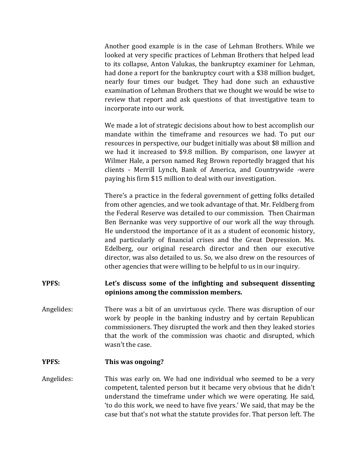Another good example is in the case of Lehman Brothers. While we looked at very specific practices of Lehman Brothers that helped lead to its collapse, Anton Valukas, the bankruptcy examiner for Lehman, had done a report for the bankruptcy court with a \$38 million budget, nearly four times our budget. They had done such an exhaustive examination of Lehman Brothers that we thought we would be wise to review that report and ask questions of that investigative team to incorporate into our work.

We made a lot of strategic decisions about how to best accomplish our mandate within the timeframe and resources we had. To put our resources in perspective, our budget initially was about \$8 million and we had it increased to \$9.8 million. By comparison, one lawyer at Wilmer Hale, a person named Reg Brown reportedly bragged that his clients - Merrill Lynch, Bank of America, and Countrywide -were paying his firm \$15 million to deal with our investigation.

There's a practice in the federal government of getting folks detailed from other agencies, and we took advantage of that. Mr. Feldberg from the Federal Reserve was detailed to our commission. Then Chairman Ben Bernanke was very supportive of our work all the way through. He understood the importance of it as a student of economic history, and particularly of financial crises and the Great Depression. Ms. Edelberg, our original research director and then our executive director, was also detailed to us. So, we also drew on the resources of other agencies that were willing to be helpful to us in our inquiry.

### **YPFS: Let's discuss some of the infighting and subsequent dissenting opinions among the commission members.**

Angelides: There was a bit of an unvirtuous cycle. There was disruption of our work by people in the banking industry and by certain Republican commissioners. They disrupted the work and then they leaked stories that the work of the commission was chaotic and disrupted, which wasn't the case.

### **YPFS: This was ongoing?**

Angelides: This was early on. We had one individual who seemed to be a very competent, talented person but it became very obvious that he didn't understand the timeframe under which we were operating. He said, 'to do this work, we need to have five years.' We said, that may be the case but that's not what the statute provides for. That person left. The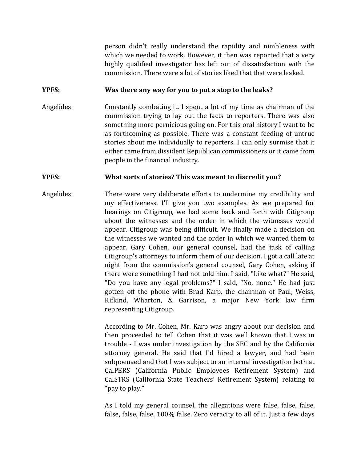person didn't really understand the rapidity and nimbleness with which we needed to work. However, it then was reported that a very highly qualified investigator has left out of dissatisfaction with the commission. There were a lot of stories liked that that were leaked.

### **YPFS: Was there any way for you to put a stop to the leaks?**

Angelides: Constantly combating it. I spent a lot of my time as chairman of the commission trying to lay out the facts to reporters. There was also something more pernicious going on. For this oral history I want to be as forthcoming as possible. There was a constant feeding of untrue stories about me individually to reporters. I can only surmise that it either came from dissident Republican commissioners or it came from people in the financial industry.

### **YPFS: What sorts of stories? This was meant to discredit you?**

Angelides: There were very deliberate efforts to undermine my credibility and my effectiveness. I'll give you two examples. As we prepared for hearings on Citigroup, we had some back and forth with Citigroup about the witnesses and the order in which the witnesses would appear. Citigroup was being difficult. We finally made a decision on the witnesses we wanted and the order in which we wanted them to appear. Gary Cohen, our general counsel, had the task of calling Citigroup's attorneys to inform them of our decision. I got a call late at night from the commission's general counsel, Gary Cohen, asking if there were something I had not told him. I said, "Like what?" He said, "Do you have any legal problems?" I said, "No, none." He had just gotten off the phone with Brad Karp, the chairman of Paul, Weiss, Rifkind, Wharton, & Garrison, a major New York law firm representing Citigroup.

> According to Mr. Cohen, Mr. Karp was angry about our decision and then proceeded to tell Cohen that it was well known that I was in trouble - I was under investigation by the SEC and by the California attorney general. He said that I'd hired a lawyer, and had been subpoenaed and that I was subject to an internal investigation both at CalPERS (California Public Employees Retirement System) and CalSTRS (California State Teachers' Retirement System) relating to "pay to play."

> As I told my general counsel, the allegations were false, false, false, false, false, false, 100% false. Zero veracity to all of it. Just a few days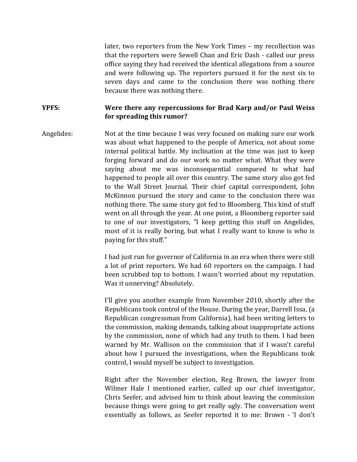later, two reporters from the New York Times – my recollection was that the reporters were Sewell Chan and Eric Dash - called our press office saying they had received the identical allegations from a source and were following up. The reporters pursued it for the next six to seven days and came to the conclusion there was nothing there because there was nothing there.

**YPFS: Were there any repercussions for Brad Karp and/or Paul Weiss for spreading this rumor?**

Angelides: Not at the time because I was very focused on making sure our work was about what happened to the people of America, not about some internal political battle. My inclination at the time was just to keep forging forward and do our work no matter what. What they were saying about me was inconsequential compared to what had happened to people all over this country. The same story also got fed to the Wall Street Journal. Their chief capital correspondent, John McKinnon pursued the story and came to the conclusion there was nothing there. The same story got fed to Bloomberg. This kind of stuff went on all through the year. At one point, a Bloomberg reporter said to one of our investigators, "I keep getting this stuff on Angelides, most of it is really boring, but what I really want to know is who is paying for this stuff."

> I had just run for governor of California in an era when there were still a lot of print reporters. We had 60 reporters on the campaign. I had been scrubbed top to bottom. I wasn't worried about my reputation. Was it unnerving? Absolutely.

> I'll give you another example from November 2010, shortly after the Republicans took control of the House. During the year, Darrell Issa, (a Republican congressman from California), had been writing letters to the commission, making demands, talking about inappropriate actions by the commission, none of which had any truth to them. I had been warned by Mr. Wallison on the commission that if I wasn't careful about how I pursued the investigations, when the Republicans took control, I would myself be subject to investigation.

> Right after the November election, Reg Brown, the lawyer from Wilmer Hale I mentioned earlier, called up our chief investigator, Chris Seefer, and advised him to think about leaving the commission because things were going to get really ugly. The conversation went essentially as follows, as Seefer reported it to me: Brown - 'I don't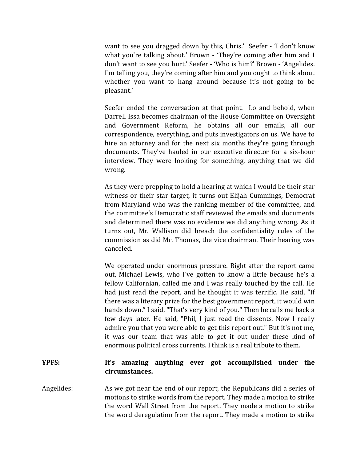want to see you dragged down by this, Chris.' Seefer - 'I don't know what you're talking about.' Brown - 'They're coming after him and I don't want to see you hurt.' Seefer - 'Who is him?' Brown - 'Angelides. I'm telling you, they're coming after him and you ought to think about whether you want to hang around because it's not going to be pleasant.'

Seefer ended the conversation at that point. Lo and behold, when Darrell Issa becomes chairman of the House Committee on Oversight and Government Reform, he obtains all our emails, all our correspondence, everything, and puts investigators on us. We have to hire an attorney and for the next six months they're going through documents. They've hauled in our executive director for a six-hour interview. They were looking for something, anything that we did wrong.

As they were prepping to hold a hearing at which I would be their star witness or their star target, it turns out Elijah Cummings, Democrat from Maryland who was the ranking member of the committee, and the committee's Democratic staff reviewed the emails and documents and determined there was no evidence we did anything wrong. As it turns out, Mr. Wallison did breach the confidentiality rules of the commission as did Mr. Thomas, the vice chairman. Their hearing was canceled.

We operated under enormous pressure. Right after the report came out, Michael Lewis, who I've gotten to know a little because he's a fellow Californian, called me and I was really touched by the call. He had just read the report, and he thought it was terrific. He said, "If there was a literary prize for the best government report, it would win hands down." I said, "That's very kind of you." Then he calls me back a few days later. He said, "Phil, I just read the dissents. Now I really admire you that you were able to get this report out." But it's not me, it was our team that was able to get it out under these kind of enormous political cross currents. I think is a real tribute to them.

# **YPFS: It's amazing anything ever got accomplished under the circumstances.**

Angelides: As we got near the end of our report, the Republicans did a series of motions to strike words from the report. They made a motion to strike the word Wall Street from the report. They made a motion to strike the word deregulation from the report. They made a motion to strike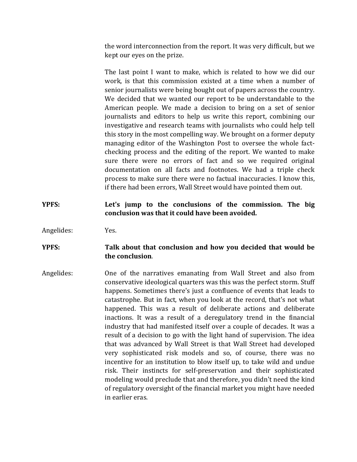the word interconnection from the report. It was very difficult, but we kept our eyes on the prize.

The last point I want to make, which is related to how we did our work, is that this commission existed at a time when a number of senior journalists were being bought out of papers across the country. We decided that we wanted our report to be understandable to the American people. We made a decision to bring on a set of senior journalists and editors to help us write this report, combining our investigative and research teams with journalists who could help tell this story in the most compelling way. We brought on a former deputy managing editor of the Washington Post to oversee the whole factchecking process and the editing of the report. We wanted to make sure there were no errors of fact and so we required original documentation on all facts and footnotes. We had a triple check process to make sure there were no factual inaccuracies. I know this, if there had been errors, Wall Street would have pointed them out.

# **YPFS: Let's jump to the conclusions of the commission. The big conclusion was that it could have been avoided.**

Angelides: Yes.

# **YPFS: Talk about that conclusion and how you decided that would be the conclusion**.

Angelides: One of the narratives emanating from Wall Street and also from conservative ideological quarters was this was the perfect storm. Stuff happens. Sometimes there's just a confluence of events that leads to catastrophe. But in fact, when you look at the record, that's not what happened. This was a result of deliberate actions and deliberate inactions. It was a result of a deregulatory trend in the financial industry that had manifested itself over a couple of decades. It was a result of a decision to go with the light hand of supervision. The idea that was advanced by Wall Street is that Wall Street had developed very sophisticated risk models and so, of course, there was no incentive for an institution to blow itself up, to take wild and undue risk. Their instincts for self-preservation and their sophisticated modeling would preclude that and therefore, you didn't need the kind of regulatory oversight of the financial market you might have needed in earlier eras.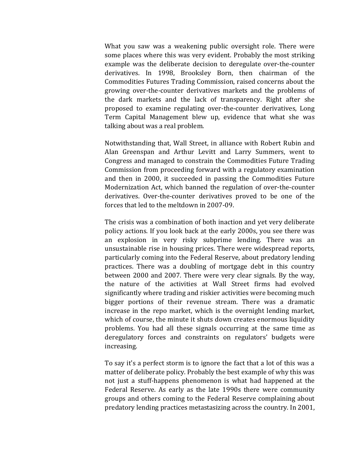What you saw was a weakening public oversight role. There were some places where this was very evident. Probably the most striking example was the deliberate decision to deregulate over-the-counter derivatives. In 1998, Brooksley Born, then chairman of the Commodities Futures Trading Commission, raised concerns about the growing over-the-counter derivatives markets and the problems of the dark markets and the lack of transparency. Right after she proposed to examine regulating over-the-counter derivatives, Long Term Capital Management blew up, evidence that what she was talking about was a real problem.

Notwithstanding that, Wall Street, in alliance with Robert Rubin and Alan Greenspan and Arthur Levitt and Larry Summers, went to Congress and managed to constrain the Commodities Future Trading Commission from proceeding forward with a regulatory examination and then in 2000, it succeeded in passing the Commodities Future Modernization Act, which banned the regulation of over-the-counter derivatives. Over-the-counter derivatives proved to be one of the forces that led to the meltdown in 2007-09.

The crisis was a combination of both inaction and yet very deliberate policy actions. If you look back at the early 2000s, you see there was an explosion in very risky subprime lending. There was an unsustainable rise in housing prices. There were widespread reports, particularly coming into the Federal Reserve, about predatory lending practices. There was a doubling of mortgage debt in this country between 2000 and 2007. There were very clear signals. By the way, the nature of the activities at Wall Street firms had evolved significantly where trading and riskier activities were becoming much bigger portions of their revenue stream. There was a dramatic increase in the repo market, which is the overnight lending market, which of course, the minute it shuts down creates enormous liquidity problems. You had all these signals occurring at the same time as deregulatory forces and constraints on regulators' budgets were increasing.

To say it's a perfect storm is to ignore the fact that a lot of this was a matter of deliberate policy. Probably the best example of why this was not just a stuff-happens phenomenon is what had happened at the Federal Reserve. As early as the late 1990s there were community groups and others coming to the Federal Reserve complaining about predatory lending practices metastasizing across the country. In 2001,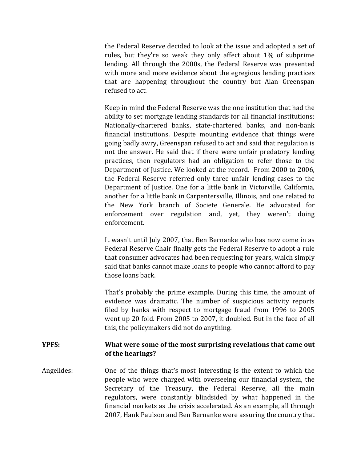the Federal Reserve decided to look at the issue and adopted a set of rules, but they're so weak they only affect about 1% of subprime lending. All through the 2000s, the Federal Reserve was presented with more and more evidence about the egregious lending practices that are happening throughout the country but Alan Greenspan refused to act.

Keep in mind the Federal Reserve was the one institution that had the ability to set mortgage lending standards for all financial institutions: Nationally-chartered banks, state-chartered banks, and non-bank financial institutions. Despite mounting evidence that things were going badly awry, Greenspan refused to act and said that regulation is not the answer. He said that if there were unfair predatory lending practices, then regulators had an obligation to refer those to the Department of Justice. We looked at the record. From 2000 to 2006, the Federal Reserve referred only three unfair lending cases to the Department of Justice. One for a little bank in Victorville, California, another for a little bank in Carpentersville, Illinois, and one related to the New York branch of Societe Generale. He advocated for enforcement over regulation and, yet, they weren't doing enforcement.

It wasn't until July 2007, that Ben Bernanke who has now come in as Federal Reserve Chair finally gets the Federal Reserve to adopt a rule that consumer advocates had been requesting for years, which simply said that banks cannot make loans to people who cannot afford to pay those loans back.

That's probably the prime example. During this time, the amount of evidence was dramatic. The number of suspicious activity reports filed by banks with respect to mortgage fraud from 1996 to 2005 went up 20 fold. From 2005 to 2007, it doubled. But in the face of all this, the policymakers did not do anything.

# **YPFS: What were some of the most surprising revelations that came out of the hearings?**

Angelides: One of the things that's most interesting is the extent to which the people who were charged with overseeing our financial system, the Secretary of the Treasury, the Federal Reserve, all the main regulators, were constantly blindsided by what happened in the financial markets as the crisis accelerated. As an example, all through 2007, Hank Paulson and Ben Bernanke were assuring the country that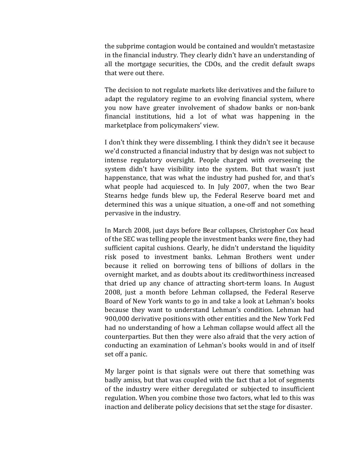the subprime contagion would be contained and wouldn't metastasize in the financial industry. They clearly didn't have an understanding of all the mortgage securities, the CDOs, and the credit default swaps that were out there.

The decision to not regulate markets like derivatives and the failure to adapt the regulatory regime to an evolving financial system, where you now have greater involvement of shadow banks or non-bank financial institutions, hid a lot of what was happening in the marketplace from policymakers' view.

I don't think they were dissembling. I think they didn't see it because we'd constructed a financial industry that by design was not subject to intense regulatory oversight. People charged with overseeing the system didn't have visibility into the system. But that wasn't just happenstance, that was what the industry had pushed for, and that's what people had acquiesced to. In July 2007, when the two Bear Stearns hedge funds blew up, the Federal Reserve board met and determined this was a unique situation, a one-off and not something pervasive in the industry.

In March 2008, just days before Bear collapses, Christopher Cox head of the SEC was telling people the investment banks were fine, they had sufficient capital cushions. Clearly, he didn't understand the liquidity risk posed to investment banks. Lehman Brothers went under because it relied on borrowing tens of billions of dollars in the overnight market, and as doubts about its creditworthiness increased that dried up any chance of attracting short-term loans. In August 2008, just a month before Lehman collapsed, the Federal Reserve Board of New York wants to go in and take a look at Lehman's books because they want to understand Lehman's condition. Lehman had 900,000 derivative positions with other entities and the New York Fed had no understanding of how a Lehman collapse would affect all the counterparties. But then they were also afraid that the very action of conducting an examination of Lehman's books would in and of itself set off a panic.

My larger point is that signals were out there that something was badly amiss, but that was coupled with the fact that a lot of segments of the industry were either deregulated or subjected to insufficient regulation. When you combine those two factors, what led to this was inaction and deliberate policy decisions that set the stage for disaster.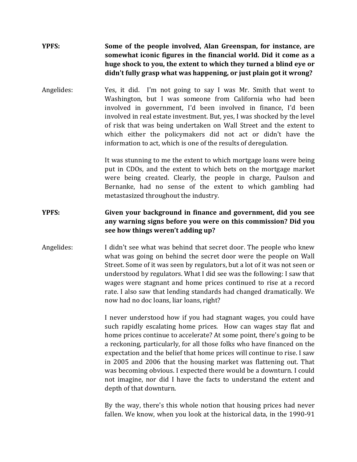# **YPFS: Some of the people involved, Alan Greenspan, for instance, are somewhat iconic figures in the financial world. Did it come as a huge shock to you, the extent to which they turned a blind eye or didn't fully grasp what was happening, or just plain got it wrong?**

Angelides: Yes, it did. I'm not going to say I was Mr. Smith that went to Washington, but I was someone from California who had been involved in government, I'd been involved in finance, I'd been involved in real estate investment. But, yes, I was shocked by the level of risk that was being undertaken on Wall Street and the extent to which either the policymakers did not act or didn't have the information to act, which is one of the results of deregulation.

> It was stunning to me the extent to which mortgage loans were being put in CDOs, and the extent to which bets on the mortgage market were being created. Clearly, the people in charge, Paulson and Bernanke, had no sense of the extent to which gambling had metastasized throughout the industry.

# **YPFS: Given your background in finance and government, did you see any warning signs before you were on this commission? Did you see how things weren't adding up?**

Angelides: I didn't see what was behind that secret door. The people who knew what was going on behind the secret door were the people on Wall Street. Some of it was seen by regulators, but a lot of it was not seen or understood by regulators. What I did see was the following: I saw that wages were stagnant and home prices continued to rise at a record rate. I also saw that lending standards had changed dramatically. We now had no doc loans, liar loans, right?

> I never understood how if you had stagnant wages, you could have such rapidly escalating home prices. How can wages stay flat and home prices continue to accelerate? At some point, there's going to be a reckoning, particularly, for all those folks who have financed on the expectation and the belief that home prices will continue to rise. I saw in 2005 and 2006 that the housing market was flattening out. That was becoming obvious. I expected there would be a downturn. I could not imagine, nor did I have the facts to understand the extent and depth of that downturn.

> By the way, there's this whole notion that housing prices had never fallen. We know, when you look at the historical data, in the 1990-91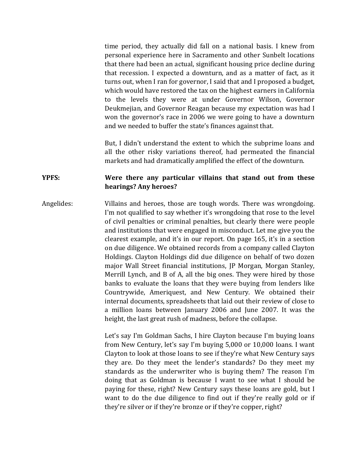time period, they actually did fall on a national basis. I knew from personal experience here in Sacramento and other Sunbelt locations that there had been an actual, significant housing price decline during that recession. I expected a downturn, and as a matter of fact, as it turns out, when I ran for governor, I said that and I proposed a budget, which would have restored the tax on the highest earners in California to the levels they were at under Governor Wilson, Governor Deukmejian, and Governor Reagan because my expectation was had I won the governor's race in 2006 we were going to have a downturn and we needed to buffer the state's finances against that.

But, I didn't understand the extent to which the subprime loans and all the other risky variations thereof, had permeated the financial markets and had dramatically amplified the effect of the downturn.

### **YPFS: Were there any particular villains that stand out from these hearings? Any heroes?**

Angelides: Villains and heroes, those are tough words. There was wrongdoing. I'm not qualified to say whether it's wrongdoing that rose to the level of civil penalties or criminal penalties, but clearly there were people and institutions that were engaged in misconduct. Let me give you the clearest example, and it's in our report. On page 165, it's in a section on due diligence. We obtained records from a company called Clayton Holdings. Clayton Holdings did due diligence on behalf of two dozen major Wall Street financial institutions, JP Morgan, Morgan Stanley, Merrill Lynch, and B of A, all the big ones. They were hired by those banks to evaluate the loans that they were buying from lenders like Countrywide, Ameriquest, and New Century. We obtained their internal documents, spreadsheets that laid out their review of close to a million loans between January 2006 and June 2007. It was the height, the last great rush of madness, before the collapse.

> Let's say I'm Goldman Sachs, I hire Clayton because I'm buying loans from New Century, let's say I'm buying 5,000 or 10,000 loans. I want Clayton to look at those loans to see if they're what New Century says they are. Do they meet the lender's standards? Do they meet my standards as the underwriter who is buying them? The reason I'm doing that as Goldman is because I want to see what I should be paying for these, right? New Century says these loans are gold, but I want to do the due diligence to find out if they're really gold or if they're silver or if they're bronze or if they're copper, right?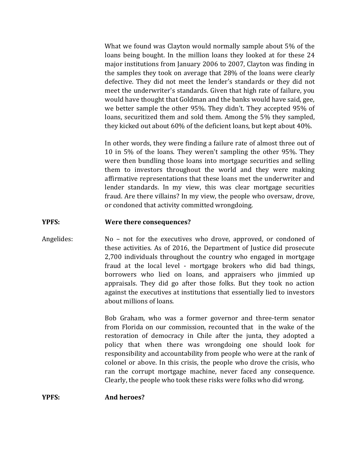What we found was Clayton would normally sample about 5% of the loans being bought. In the million loans they looked at for these 24 major institutions from January 2006 to 2007, Clayton was finding in the samples they took on average that 28% of the loans were clearly defective. They did not meet the lender's standards or they did not meet the underwriter's standards. Given that high rate of failure, you would have thought that Goldman and the banks would have said, gee, we better sample the other 95%. They didn't. They accepted 95% of loans, securitized them and sold them. Among the 5% they sampled, they kicked out about 60% of the deficient loans, but kept about 40%.

In other words, they were finding a failure rate of almost three out of 10 in 5% of the loans. They weren't sampling the other 95%. They were then bundling those loans into mortgage securities and selling them to investors throughout the world and they were making affirmative representations that these loans met the underwriter and lender standards. In my view, this was clear mortgage securities fraud. Are there villains? In my view, the people who oversaw, drove, or condoned that activity committed wrongdoing.

### **YPFS: Were there consequences?**

# Angelides: No – not for the executives who drove, approved, or condoned of these activities. As of 2016, the Department of Justice did prosecute 2,700 individuals throughout the country who engaged in mortgage fraud at the local level - mortgage brokers who did bad things, borrowers who lied on loans, and appraisers who jimmied up appraisals. They did go after those folks. But they took no action against the executives at institutions that essentially lied to investors about millions of loans.

Bob Graham, who was a former governor and three-term senator from Florida on our commission, recounted that in the wake of the restoration of democracy in Chile after the junta, they adopted a policy that when there was wrongdoing one should look for responsibility and accountability from people who were at the rank of colonel or above. In this crisis, the people who drove the crisis, who ran the corrupt mortgage machine, never faced any consequence. Clearly, the people who took these risks were folks who did wrong.

### **YPFS: And heroes?**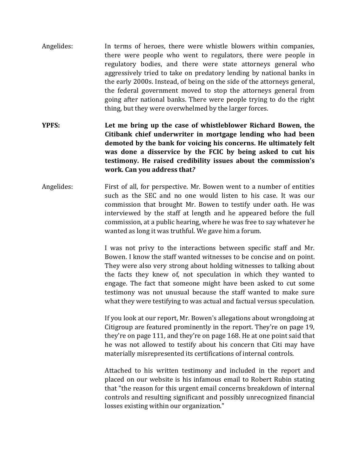- Angelides: In terms of heroes, there were whistle blowers within companies, there were people who went to regulators, there were people in regulatory bodies, and there were state attorneys general who aggressively tried to take on predatory lending by national banks in the early 2000s. Instead, of being on the side of the attorneys general, the federal government moved to stop the attorneys general from going after national banks. There were people trying to do the right thing, but they were overwhelmed by the larger forces.
- **YPFS: Let me bring up the case of whistleblower Richard Bowen, the Citibank chief underwriter in mortgage lending who had been demoted by the bank for voicing his concerns. He ultimately felt was done a disservice by the FCIC by being asked to cut his testimony. He raised credibility issues about the commission's work. Can you address that***?*
- Angelides: First of all, for perspective. Mr. Bowen went to a number of entities such as the SEC and no one would listen to his case. It was our commission that brought Mr. Bowen to testify under oath. He was interviewed by the staff at length and he appeared before the full commission, at a public hearing, where he was free to say whatever he wanted as long it was truthful. We gave him a forum.

I was not privy to the interactions between specific staff and Mr. Bowen. I know the staff wanted witnesses to be concise and on point. They were also very strong about holding witnesses to talking about the facts they knew of, not speculation in which they wanted to engage. The fact that someone might have been asked to cut some testimony was not unusual because the staff wanted to make sure what they were testifying to was actual and factual versus speculation.

If you look at our report, Mr. Bowen's allegations about wrongdoing at Citigroup are featured prominently in the report. They're on page 19, they're on page 111, and they're on page 168. He at one point said that he was not allowed to testify about his concern that Citi may have materially misrepresented its certifications of internal controls.

Attached to his written testimony and included in the report and placed on our website is his infamous email to Robert Rubin stating that "the reason for this urgent email concerns breakdown of internal controls and resulting significant and possibly unrecognized financial losses existing within our organization."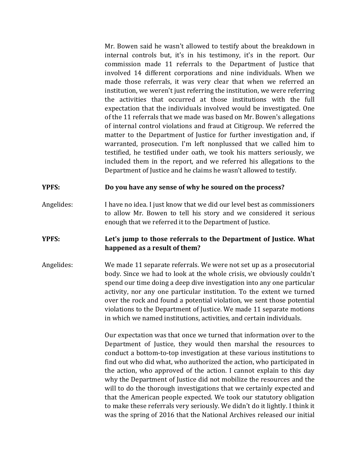Mr. Bowen said he wasn't allowed to testify about the breakdown in internal controls but, it's in his testimony, it's in the report. Our commission made 11 referrals to the Department of Justice that involved 14 different corporations and nine individuals. When we made those referrals, it was very clear that when we referred an institution, we weren't just referring the institution, we were referring the activities that occurred at those institutions with the full expectation that the individuals involved would be investigated. One of the 11 referrals that we made was based on Mr. Bowen's allegations of internal control violations and fraud at Citigroup. We referred the matter to the Department of Justice for further investigation and, if warranted, prosecution. I'm left nonplussed that we called him to testified, he testified under oath, we took his matters seriously, we included them in the report, and we referred his allegations to the Department of Justice and he claims he wasn't allowed to testify.

### **YPFS: Do you have any sense of why he soured on the process?**

Angelides: I have no idea. I just know that we did our level best as commissioners to allow Mr. Bowen to tell his story and we considered it serious enough that we referred it to the Department of Justice.

### **YPFS: Let's jump to those referrals to the Department of Justice. What happened as a result of them?**

Angelides: We made 11 separate referrals. We were not set up as a prosecutorial body. Since we had to look at the whole crisis, we obviously couldn't spend our time doing a deep dive investigation into any one particular activity, nor any one particular institution. To the extent we turned over the rock and found a potential violation, we sent those potential violations to the Department of Justice. We made 11 separate motions in which we named institutions, activities, and certain individuals.

> Our expectation was that once we turned that information over to the Department of Justice, they would then marshal the resources to conduct a bottom-to-top investigation at these various institutions to find out who did what, who authorized the action, who participated in the action, who approved of the action. I cannot explain to this day why the Department of Justice did not mobilize the resources and the will to do the thorough investigations that we certainly expected and that the American people expected. We took our statutory obligation to make these referrals very seriously. We didn't do it lightly. I think it was the spring of 2016 that the National Archives released our initial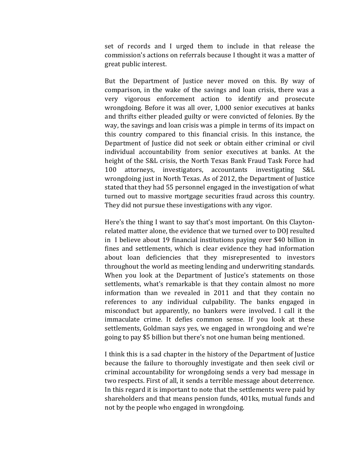set of records and I urged them to include in that release the commission's actions on referrals because I thought it was a matter of great public interest.

But the Department of Justice never moved on this. By way of comparison, in the wake of the savings and loan crisis, there was a very vigorous enforcement action to identify and prosecute wrongdoing. Before it was all over, 1,000 senior executives at banks and thrifts either pleaded guilty or were convicted of felonies. By the way, the savings and loan crisis was a pimple in terms of its impact on this country compared to this financial crisis. In this instance, the Department of Justice did not seek or obtain either criminal or civil individual accountability from senior executives at banks. At the height of the S&L crisis, the North Texas Bank Fraud Task Force had 100 attorneys, investigators, accountants investigating S&L wrongdoing just in North Texas. As of 2012, the Department of Justice stated that they had 55 personnel engaged in the investigation of what turned out to massive mortgage securities fraud across this country. They did not pursue these investigations with any vigor.

Here's the thing I want to say that's most important. On this Claytonrelated matter alone, the evidence that we turned over to DOJ resulted in I believe about 19 financial institutions paying over \$40 billion in fines and settlements, which is clear evidence they had information about loan deficiencies that they misrepresented to investors throughout the world as meeting lending and underwriting standards. When you look at the Department of Justice's statements on those settlements, what's remarkable is that they contain almost no more information than we revealed in 2011 and that they contain no references to any individual culpability. The banks engaged in misconduct but apparently, no bankers were involved. I call it the immaculate crime. It defies common sense. If you look at these settlements, Goldman says yes, we engaged in wrongdoing and we're going to pay \$5 billion but there's not one human being mentioned.

I think this is a sad chapter in the history of the Department of Justice because the failure to thoroughly investigate and then seek civil or criminal accountability for wrongdoing sends a very bad message in two respects. First of all, it sends a terrible message about deterrence. In this regard it is important to note that the settlements were paid by shareholders and that means pension funds, 401ks, mutual funds and not by the people who engaged in wrongdoing.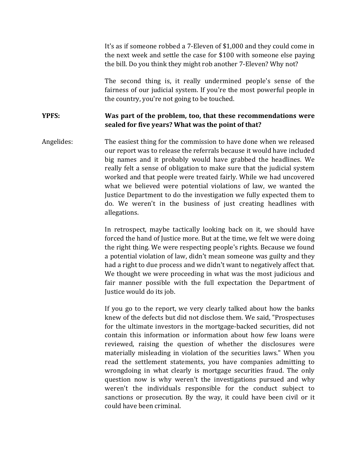It's as if someone robbed a 7-Eleven of \$1,000 and they could come in the next week and settle the case for \$100 with someone else paying the bill. Do you think they might rob another 7-Eleven? Why not?

The second thing is, it really undermined people's sense of the fairness of our judicial system. If you're the most powerful people in the country, you're not going to be touched.

# **YPFS: Was part of the problem, too, that these recommendations were sealed for five years? What was the point of that?**

Angelides: The easiest thing for the commission to have done when we released our report was to release the referrals because it would have included big names and it probably would have grabbed the headlines. We really felt a sense of obligation to make sure that the judicial system worked and that people were treated fairly. While we had uncovered what we believed were potential violations of law, we wanted the Justice Department to do the investigation we fully expected them to do. We weren't in the business of just creating headlines with allegations.

> In retrospect, maybe tactically looking back on it, we should have forced the hand of Justice more. But at the time, we felt we were doing the right thing. We were respecting people's rights. Because we found a potential violation of law, didn't mean someone was guilty and they had a right to due process and we didn't want to negatively affect that. We thought we were proceeding in what was the most judicious and fair manner possible with the full expectation the Department of Justice would do its job.

> If you go to the report, we very clearly talked about how the banks knew of the defects but did not disclose them. We said, "Prospectuses for the ultimate investors in the mortgage-backed securities, did not contain this information or information about how few loans were reviewed, raising the question of whether the disclosures were materially misleading in violation of the securities laws." When you read the settlement statements, you have companies admitting to wrongdoing in what clearly is mortgage securities fraud. The only question now is why weren't the investigations pursued and why weren't the individuals responsible for the conduct subject to sanctions or prosecution. By the way, it could have been civil or it could have been criminal.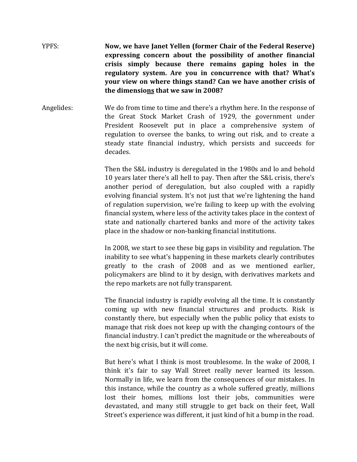YPFS: **Now, we have Janet Yellen (former Chair of the Federal Reserve) expressing concern about the possibility of another financial crisis simply because there remains gaping holes in the regulatory system. Are you in concurrence with that? What's your view on where things stand? Can we have another crisis of the dimensions that we saw in 2008?**

Angelides: We do from time to time and there's a rhythm here. In the response of the Great Stock Market Crash of 1929, the government under President Roosevelt put in place a comprehensive system of regulation to oversee the banks, to wring out risk, and to create a steady state financial industry, which persists and succeeds for decades.

> Then the S&L industry is deregulated in the 1980s and lo and behold 10 years later there's all hell to pay. Then after the S&L crisis, there's another period of deregulation, but also coupled with a rapidly evolving financial system. It's not just that we're lightening the hand of regulation supervision, we're failing to keep up with the evolving financial system, where less of the activity takes place in the context of state and nationally chartered banks and more of the activity takes place in the shadow or non-banking financial institutions.

> In 2008, we start to see these big gaps in visibility and regulation. The inability to see what's happening in these markets clearly contributes greatly to the crash of 2008 and as we mentioned earlier, policymakers are blind to it by design, with derivatives markets and the repo markets are not fully transparent.

> The financial industry is rapidly evolving all the time. It is constantly coming up with new financial structures and products. Risk is constantly there, but especially when the public policy that exists to manage that risk does not keep up with the changing contours of the financial industry. I can't predict the magnitude or the whereabouts of the next big crisis, but it will come.

> But here's what I think is most troublesome. In the wake of 2008, I think it's fair to say Wall Street really never learned its lesson. Normally in life, we learn from the consequences of our mistakes. In this instance, while the country as a whole suffered greatly, millions lost their homes, millions lost their jobs, communities were devastated, and many still struggle to get back on their feet, Wall Street's experience was different, it just kind of hit a bump in the road.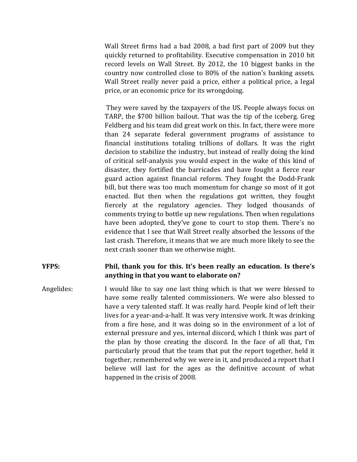Wall Street firms had a bad 2008, a bad first part of 2009 but they quickly returned to profitability. Executive compensation in 2010 hit record levels on Wall Street. By 2012, the 10 biggest banks in the country now controlled close to 80% of the nation's banking assets. Wall Street really never paid a price, either a political price, a legal price, or an economic price for its wrongdoing.

They were saved by the taxpayers of the US. People always focus on TARP, the \$700 billion bailout. That was the tip of the iceberg. Greg Feldberg and his team did great work on this. In fact, there were more than 24 separate federal government programs of assistance to financial institutions totaling trillions of dollars. It was the right decision to stabilize the industry, but instead of really doing the kind of critical self-analysis you would expect in the wake of this kind of disaster, they fortified the barricades and have fought a fierce rear guard action against financial reform. They fought the Dodd-Frank bill, but there was too much momentum for change so most of it got enacted. But then when the regulations got written, they fought fiercely at the regulatory agencies. They lodged thousands of comments trying to bottle up new regulations. Then when regulations have been adopted, they've gone to court to stop them. There's no evidence that I see that Wall Street really absorbed the lessons of the last crash. Therefore, it means that we are much more likely to see the next crash sooner than we otherwise might.

# **YFPS: Phil, thank you for this. It's been really an education. Is there's anything in that you want to elaborate on?**

Angelides: I would like to say one last thing which is that we were blessed to have some really talented commissioners. We were also blessed to have a very talented staff. It was really hard. People kind of left their lives for a year-and-a-half. It was very intensive work. It was drinking from a fire hose, and it was doing so in the environment of a lot of external pressure and yes, internal discord, which I think was part of the plan by those creating the discord. In the face of all that, I'm particularly proud that the team that put the report together, held it together, remembered why we were in it, and produced a report that I believe will last for the ages as the definitive account of what happened in the crisis of 2008.